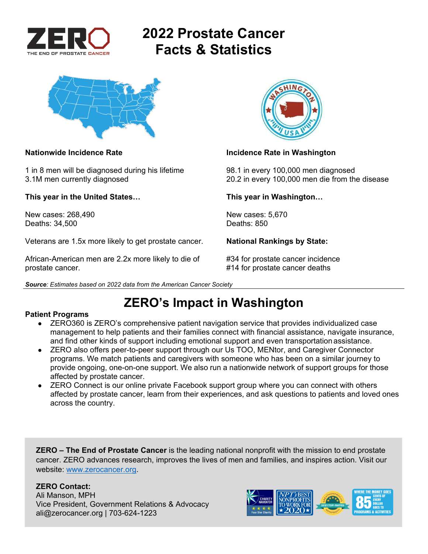



1 in 8 men will be diagnosed during his lifetime 98.1 in every 100,000 men diagnosed

**This year in the United States… This year in Washington…** 

New cases: 268,490 New cases: 5,670<br>Deaths: 34.500 Deaths: 850 Deaths: 34,500

Veterans are 1.5x more likely to get prostate cancer. **National Rankings by State:** 

African-American men are 2.2x more likely to die of #34 for prostate cancer incidence prostate cancer. #14 for prostate cancer deaths





### **Nationwide Incidence Rate Incidence Rate in Washington**

3.1M men currently diagnosed 20.2 in every 100,000 men die from the disease

## **ZERO's Impact in Washington**

#### **Patient Programs**

- ZERO360 is ZERO's comprehensive patient navigation service that provides individualized case management to help patients and their families connect with financial assistance, navigate insurance, and find other kinds of support including emotional support and even transportation assistance.
- ZERO also offers peer-to-peer support through our Us TOO, MENtor, and Caregiver Connector programs. We match patients and caregivers with someone who has been on a similar journey to provide ongoing, one-on-one support. We also run a nationwide network of support groups for those affected by prostate cancer.
- ZERO Connect is our online private Facebook support group where you can connect with others affected by prostate cancer, learn from their experiences, and ask questions to patients and loved ones across the country.

**ZERO – The End of Prostate Cancer** is the leading national nonprofit with the mission to end prostate cancer. ZERO advances research, improves the lives of men and families, and inspires action. Visit our website: www.zerocancer.org.

## **ZERO Contact:**

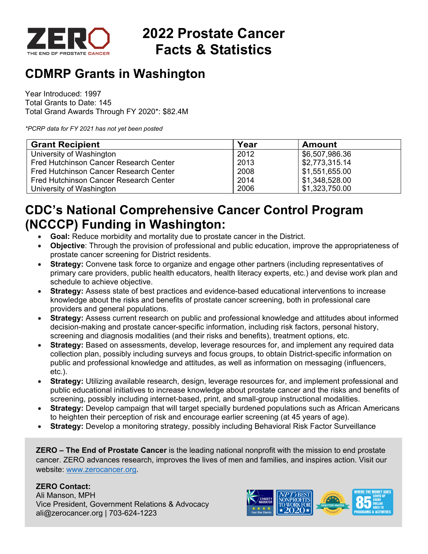

## **CDMRP Grants in Washington**

Year Introduced: 1997 Total Grants to Date: 145 Total Grand Awards Through FY 2020\*: \$82.4M

*\*PCRP data for FY 2021 has not yet been posted* 

| <b>Grant Recipient</b>                 | Year | <b>Amount</b>  |
|----------------------------------------|------|----------------|
| University of Washington               | 2012 | \$6,507,986.36 |
| Fred Hutchinson Cancer Research Center | 2013 | \$2,773,315.14 |
| Fred Hutchinson Cancer Research Center | 2008 | \$1,551,655.00 |
| Fred Hutchinson Cancer Research Center | 2014 | \$1,348,528.00 |
| University of Washington               | 2006 | \$1,323,750.00 |

## **CDC's National Comprehensive Cancer Control Program (NCCCP) Funding in Washington:**

- **Goal:** Reduce morbidity and mortality due to prostate cancer in the District.
- **Objective**: Through the provision of professional and public education, improve the appropriateness of prostate cancer screening for District residents.
- **Strategy:** Convene task force to organize and engage other partners (including representatives of primary care providers, public health educators, health literacy experts, etc.) and devise work plan and schedule to achieve objective.
- **Strategy:** Assess state of best practices and evidence-based educational interventions to increase knowledge about the risks and benefits of prostate cancer screening, both in professional care providers and general populations.
- **Strategy:** Assess current research on public and professional knowledge and attitudes about informed decision-making and prostate cancer-specific information, including risk factors, personal history, screening and diagnosis modalities (and their risks and benefits), treatment options, etc.
- **Strategy:** Based on assessments, develop, leverage resources for, and implement any required data collection plan, possibly including surveys and focus groups, to obtain District-specific information on public and professional knowledge and attitudes, as well as information on messaging (influencers, etc.).
- **Strategy:** Utilizing available research, design, leverage resources for, and implement professional and public educational initiatives to increase knowledge about prostate cancer and the risks and benefits of screening, possibly including internet-based, print, and small-group instructional modalities.
- **Strategy:** Develop campaign that will target specially burdened populations such as African Americans to heighten their perception of risk and encourage earlier screening (at 45 years of age).
- **Strategy:** Develop a monitoring strategy, possibly including Behavioral Risk Factor Surveillance

**ZERO – The End of Prostate Cancer** is the leading national nonprofit with the mission to end prostate cancer. ZERO advances research, improves the lives of men and families, and inspires action. Visit our website: www.zerocancer.org.

### **ZERO Contact:**

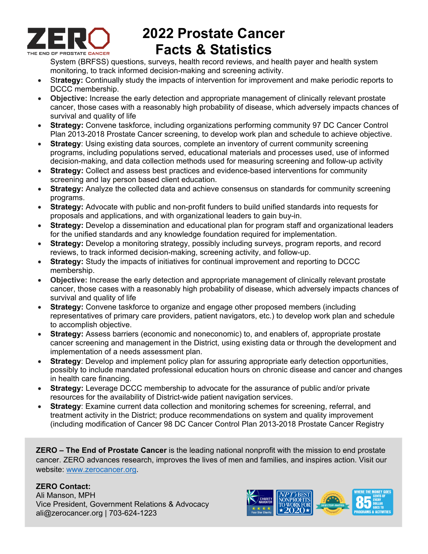

System (BRFSS) questions, surveys, health record reviews, and health payer and health system monitoring, to track informed decision-making and screening activity.

- St**rategy:** Continually study the impacts of intervention for improvement and make periodic reports to DCCC membership.
- **Objective:** Increase the early detection and appropriate management of clinically relevant prostate cancer, those cases with a reasonably high probability of disease, which adversely impacts chances of survival and quality of life
- **Strategy:** Convene taskforce, including organizations performing community 97 DC Cancer Control Plan 2013-2018 Prostate Cancer screening, to develop work plan and schedule to achieve objective.
- **Strategy:** Using existing data sources, complete an inventory of current community screening programs, including populations served, educational materials and processes used, use of informed decision-making, and data collection methods used for measuring screening and follow-up activity
- **Strategy:** Collect and assess best practices and evidence-based interventions for community screening and lay person based client education.
- **Strategy:** Analyze the collected data and achieve consensus on standards for community screening programs.
- **Strategy:** Advocate with public and non-profit funders to build unified standards into requests for proposals and applications, and with organizational leaders to gain buy-in.
- **Strategy:** Develop a dissemination and educational plan for program staff and organizational leaders for the unified standards and any knowledge foundation required for implementation.
- **Strategy:** Develop a monitoring strategy, possibly including surveys, program reports, and record reviews, to track informed decision-making, screening activity, and follow-up.
- **Strategy:** Study the impacts of initiatives for continual improvement and reporting to DCCC membership.
- **Objective:** Increase the early detection and appropriate management of clinically relevant prostate cancer, those cases with a reasonably high probability of disease, which adversely impacts chances of survival and quality of life
- **Strategy:** Convene taskforce to organize and engage other proposed members (including representatives of primary care providers, patient navigators, etc.) to develop work plan and schedule to accomplish objective.
- **Strategy:** Assess barriers (economic and noneconomic) to, and enablers of, appropriate prostate cancer screening and management in the District, using existing data or through the development and implementation of a needs assessment plan.
- **Strategy**: Develop and implement policy plan for assuring appropriate early detection opportunities, possibly to include mandated professional education hours on chronic disease and cancer and changes in health care financing.
- **Strategy:** Leverage DCCC membership to advocate for the assurance of public and/or private resources for the availability of District-wide patient navigation services.
- **Strategy**: Examine current data collection and monitoring schemes for screening, referral, and treatment activity in the District; produce recommendations on system and quality improvement (including modification of Cancer 98 DC Cancer Control Plan 2013-2018 Prostate Cancer Registry

**ZERO – The End of Prostate Cancer** is the leading national nonprofit with the mission to end prostate cancer. ZERO advances research, improves the lives of men and families, and inspires action. Visit our website: www.zerocancer.org.

## **ZERO Contact:**